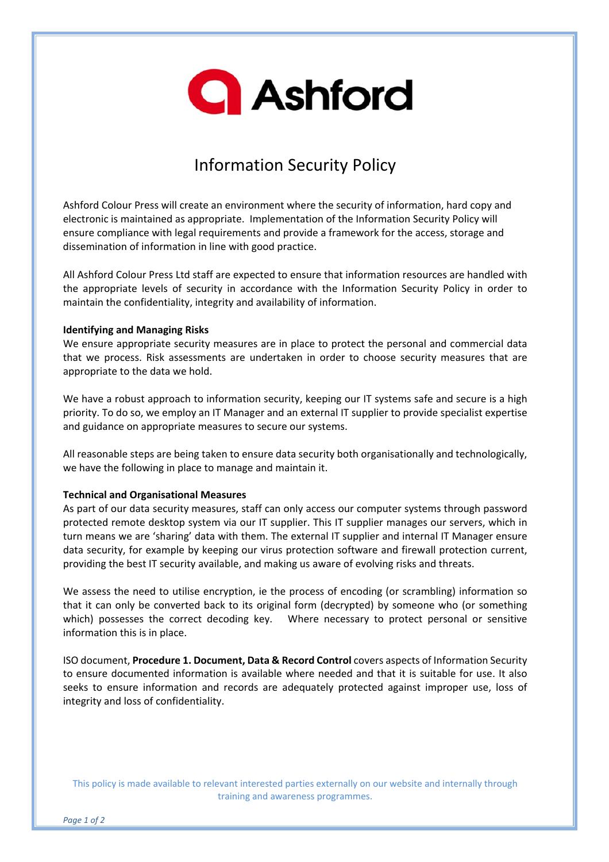

# Information Security Policy

Ashford Colour Press will create an environment where the security of information, hard copy and electronic is maintained as appropriate. Implementation of the Information Security Policy will ensure compliance with legal requirements and provide a framework for the access, storage and dissemination of information in line with good practice.

All Ashford Colour Press Ltd staff are expected to ensure that information resources are handled with the appropriate levels of security in accordance with the Information Security Policy in order to maintain the confidentiality, integrity and availability of information.

#### **Identifying and Managing Risks**

We ensure appropriate security measures are in place to protect the personal and commercial data that we process. Risk assessments are undertaken in order to choose security measures that are appropriate to the data we hold.

We have a robust approach to information security, keeping our IT systems safe and secure is a high priority. To do so, we employ an IT Manager and an external IT supplier to provide specialist expertise and guidance on appropriate measures to secure our systems.

All reasonable steps are being taken to ensure data security both organisationally and technologically, we have the following in place to manage and maintain it.

### **Technical and Organisational Measures**

As part of our data security measures, staff can only access our computer systems through password protected remote desktop system via our IT supplier. This IT supplier manages our servers, which in turn means we are 'sharing' data with them. The external IT supplier and internal IT Manager ensure data security, for example by keeping our virus protection software and firewall protection current, providing the best IT security available, and making us aware of evolving risks and threats.

We assess the need to utilise encryption, ie the process of encoding (or scrambling) information so that it can only be converted back to its original form (decrypted) by someone who (or something which) possesses the correct decoding key. Where necessary to protect personal or sensitive information this is in place.

ISO document, **Procedure 1. Document, Data & Record Control** covers aspects of Information Security to ensure documented information is available where needed and that it is suitable for use. It also seeks to ensure information and records are adequately protected against improper use, loss of integrity and loss of confidentiality.

This policy is made available to relevant interested parties externally on our website and internally through training and awareness programmes.